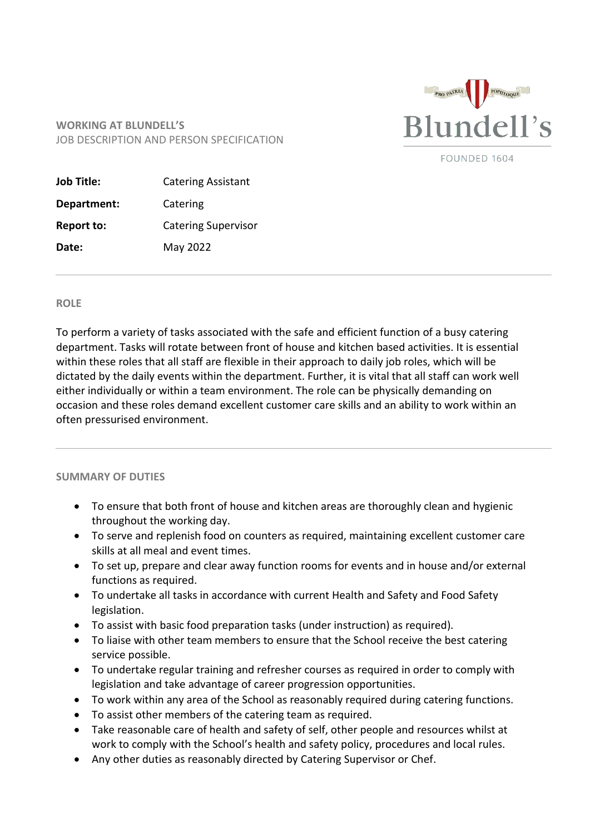

FOUNDED 1604

## **WORKING AT BLUNDELL'S** JOB DESCRIPTION AND PERSON SPECIFICATION

| Job Title:        | <b>Catering Assistant</b>  |
|-------------------|----------------------------|
| Department:       | Catering                   |
| <b>Report to:</b> | <b>Catering Supervisor</b> |
| Date:             | May 2022                   |

## **ROLE**

To perform a variety of tasks associated with the safe and efficient function of a busy catering department. Tasks will rotate between front of house and kitchen based activities. It is essential within these roles that all staff are flexible in their approach to daily job roles, which will be dictated by the daily events within the department. Further, it is vital that all staff can work well either individually or within a team environment. The role can be physically demanding on occasion and these roles demand excellent customer care skills and an ability to work within an often pressurised environment.

## **SUMMARY OF DUTIES**

- To ensure that both front of house and kitchen areas are thoroughly clean and hygienic throughout the working day.
- To serve and replenish food on counters as required, maintaining excellent customer care skills at all meal and event times.
- To set up, prepare and clear away function rooms for events and in house and/or external functions as required.
- To undertake all tasks in accordance with current Health and Safety and Food Safety legislation.
- To assist with basic food preparation tasks (under instruction) as required).
- To liaise with other team members to ensure that the School receive the best catering service possible.
- To undertake regular training and refresher courses as required in order to comply with legislation and take advantage of career progression opportunities.
- To work within any area of the School as reasonably required during catering functions.
- To assist other members of the catering team as required.
- Take reasonable care of health and safety of self, other people and resources whilst at work to comply with the School's health and safety policy, procedures and local rules.
- Any other duties as reasonably directed by Catering Supervisor or Chef.